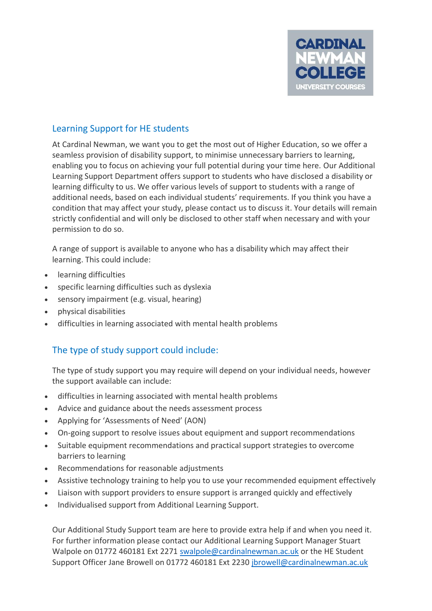

## Learning Support for HE students

At Cardinal Newman, we want you to get the most out of Higher Education, so we offer a seamless provision of disability support, to minimise unnecessary barriers to learning, enabling you to focus on achieving your full potential during your time here. Our Additional Learning Support Department offers support to students who have disclosed a disability or learning difficulty to us. We offer various levels of support to students with a range of additional needs, based on each individual students' requirements. If you think you have a condition that may affect your study, please contact us to discuss it. Your details will remain strictly confidential and will only be disclosed to other staff when necessary and with your permission to do so.

A range of support is available to anyone who has a disability which may affect their learning. This could include:

- learning difficulties
- specific learning difficulties such as dyslexia
- sensory impairment (e.g. visual, hearing)
- physical disabilities
- difficulties in learning associated with mental health problems

# The type of study support could include:

The type of study support you may require will depend on your individual needs, however the support available can include:

- difficulties in learning associated with mental health problems
- Advice and guidance about the needs assessment process
- Applying for 'Assessments of Need' (AON)
- On-going support to resolve issues about equipment and support recommendations
- Suitable equipment recommendations and practical support strategies to overcome barriers to learning
- Recommendations for reasonable adjustments
- Assistive technology training to help you to use your recommended equipment effectively
- Liaison with support providers to ensure support is arranged quickly and effectively
- Individualised support from Additional Learning Support.

Our Additional Study Support team are here to provide extra help if and when you need it. For further information please contact our Additional Learning Support Manager Stuart Walpole on 01772 460181 Ext 2271 [swalpole@cardinalnewman.ac.uk](mailto:swalpole@cardinalnewman.ac.uk) or the HE Student Support Officer Jane Browell on 01772 460181 Ext 2230 [jbrowell@cardinalnewman.ac.uk](mailto:jbrowell@cardinalnewman.ac.uk)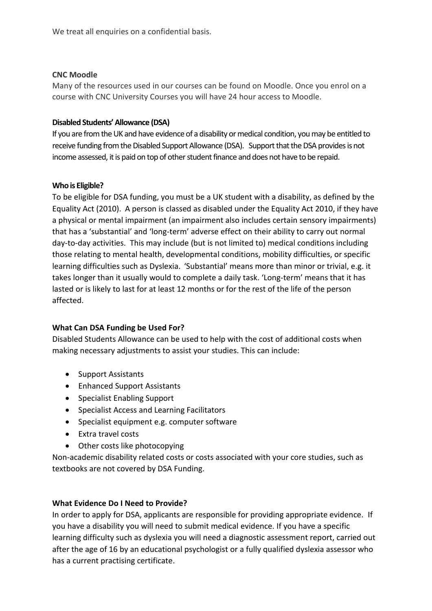We treat all enquiries on a confidential basis.

## **CNC Moodle**

Many of the resources used in our courses can be found on Moodle. Once you enrol on a course with CNC University Courses you will have 24 hour access to Moodle.

### **Disabled Students' Allowance (DSA)**

If you are from the UK and have evidence of a disability or medical condition, you may be entitled to receive funding from the Disabled Support Allowance (DSA). Support that the DSA provides is not income assessed, it is paid on top of other student finance and does not have to be repaid.

#### **Who is Eligible?**

To be eligible for DSA funding, you must be a UK student with a disability, as defined by the Equality Act (2010). A person is classed as disabled under the Equality Act 2010, if they have a physical or mental impairment (an impairment also includes certain sensory impairments) that has a 'substantial' and 'long-term' adverse effect on their ability to carry out normal day-to-day activities. This may include (but is not limited to) medical conditions including those relating to mental health, developmental conditions, mobility difficulties, or specific learning difficulties such as Dyslexia.'Substantial' means more than minor or trivial, e.g. it takes longer than it usually would to complete a daily task. 'Long-term' means that it has lasted or is likely to last for at least 12 months or for the rest of the life of the person affected.

## **What Can DSA Funding be Used For?**

Disabled Students Allowance can be used to help with the cost of additional costs when making necessary adjustments to assist your studies. This can include:

- Support Assistants
- Enhanced Support Assistants
- Specialist Enabling Support
- Specialist Access and Learning Facilitators
- Specialist equipment e.g. computer software
- Extra travel costs
- Other costs like photocopying

Non-academic disability related costs or costs associated with your core studies, such as textbooks are not covered by DSA Funding.

## **What Evidence Do I Need to Provide?**

In order to apply for DSA, applicants are responsible for providing appropriate evidence. If you have a disability you will need to submit medical evidence. If you have a specific learning difficulty such as dyslexia you will need a diagnostic assessment report, carried out after the age of 16 by an educational psychologist or a fully qualified dyslexia assessor who has a current practising certificate.